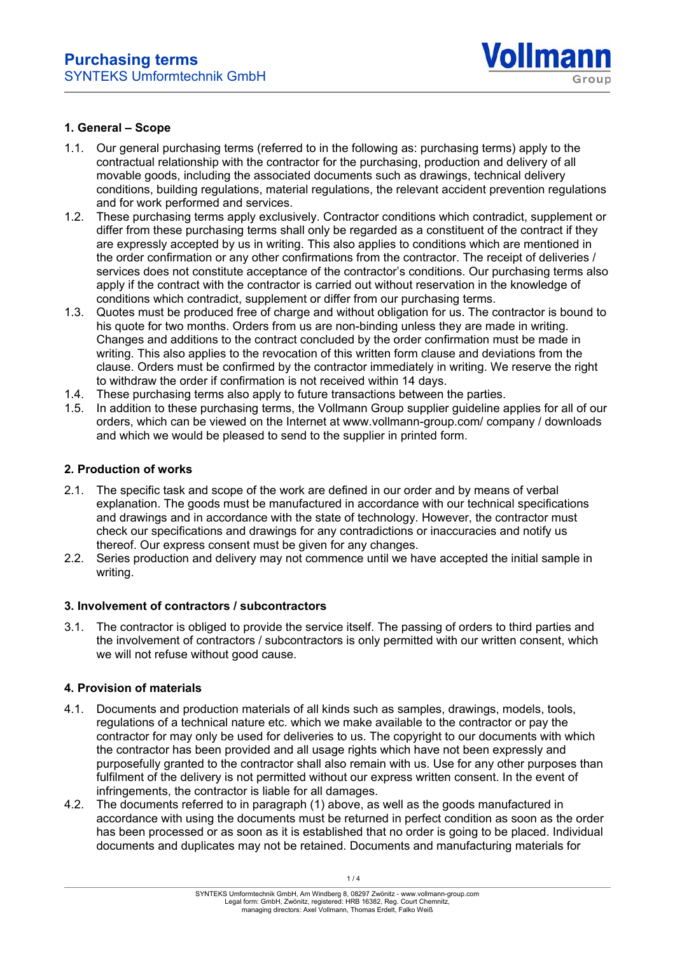

### **1. General – Scope**

- 1.1. Our general purchasing terms (referred to in the following as: purchasing terms) apply to the contractual relationship with the contractor for the purchasing, production and delivery of all movable goods, including the associated documents such as drawings, technical delivery conditions, building regulations, material regulations, the relevant accident prevention regulations and for work performed and services.
- 1.2. These purchasing terms apply exclusively. Contractor conditions which contradict, supplement or differ from these purchasing terms shall only be regarded as a constituent of the contract if they are expressly accepted by us in writing. This also applies to conditions which are mentioned in the order confirmation or any other confirmations from the contractor. The receipt of deliveries / services does not constitute acceptance of the contractor's conditions. Our purchasing terms also apply if the contract with the contractor is carried out without reservation in the knowledge of conditions which contradict, supplement or differ from our purchasing terms.
- 1.3. Quotes must be produced free of charge and without obligation for us. The contractor is bound to his quote for two months. Orders from us are non-binding unless they are made in writing. Changes and additions to the contract concluded by the order confirmation must be made in writing. This also applies to the revocation of this written form clause and deviations from the clause. Orders must be confirmed by the contractor immediately in writing. We reserve the right to withdraw the order if confirmation is not received within 14 days.
- 1.4. These purchasing terms also apply to future transactions between the parties.
- 1.5. In addition to these purchasing terms, the Vollmann Group supplier guideline applies for all of our orders, which can be viewed on the Internet at www.vollmann-group.com/ company / downloads and which we would be pleased to send to the supplier in printed form.

# **2. Production of works**

- 2.1. The specific task and scope of the work are defined in our order and by means of verbal explanation. The goods must be manufactured in accordance with our technical specifications and drawings and in accordance with the state of technology. However, the contractor must check our specifications and drawings for any contradictions or inaccuracies and notify us thereof. Our express consent must be given for any changes.
- 2.2. Series production and delivery may not commence until we have accepted the initial sample in writing.

#### **3. Involvement of contractors / subcontractors**

3.1. The contractor is obliged to provide the service itself. The passing of orders to third parties and the involvement of contractors / subcontractors is only permitted with our written consent, which we will not refuse without good cause.

#### **4. Provision of materials**

- 4.1. Documents and production materials of all kinds such as samples, drawings, models, tools, regulations of a technical nature etc. which we make available to the contractor or pay the contractor for may only be used for deliveries to us. The copyright to our documents with which the contractor has been provided and all usage rights which have not been expressly and purposefully granted to the contractor shall also remain with us. Use for any other purposes than fulfilment of the delivery is not permitted without our express written consent. In the event of infringements, the contractor is liable for all damages.
- 4.2. The documents referred to in paragraph (1) above, as well as the goods manufactured in accordance with using the documents must be returned in perfect condition as soon as the order has been processed or as soon as it is established that no order is going to be placed. Individual documents and duplicates may not be retained. Documents and manufacturing materials for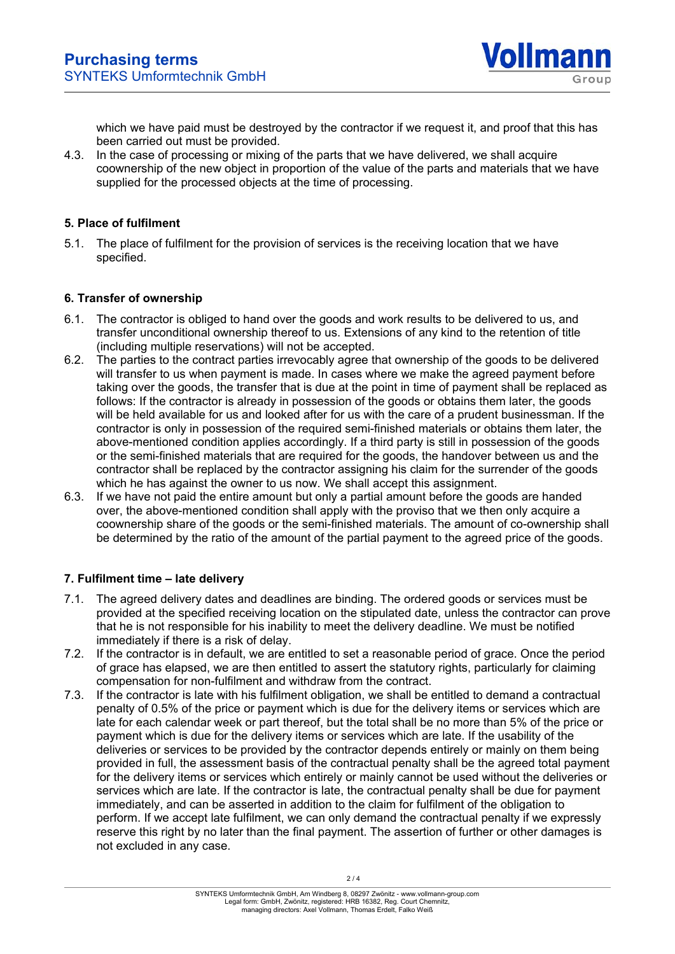

which we have paid must be destroyed by the contractor if we request it, and proof that this has been carried out must be provided.

4.3. In the case of processing or mixing of the parts that we have delivered, we shall acquire coownership of the new object in proportion of the value of the parts and materials that we have supplied for the processed objects at the time of processing.

# **5. Place of fulfilment**

5.1. The place of fulfilment for the provision of services is the receiving location that we have specified.

### **6. Transfer of ownership**

- 6.1. The contractor is obliged to hand over the goods and work results to be delivered to us, and transfer unconditional ownership thereof to us. Extensions of any kind to the retention of title (including multiple reservations) will not be accepted.
- 6.2. The parties to the contract parties irrevocably agree that ownership of the goods to be delivered will transfer to us when payment is made. In cases where we make the agreed payment before taking over the goods, the transfer that is due at the point in time of payment shall be replaced as follows: If the contractor is already in possession of the goods or obtains them later, the goods will be held available for us and looked after for us with the care of a prudent businessman. If the contractor is only in possession of the required semi-finished materials or obtains them later, the above-mentioned condition applies accordingly. If a third party is still in possession of the goods or the semi-finished materials that are required for the goods, the handover between us and the contractor shall be replaced by the contractor assigning his claim for the surrender of the goods which he has against the owner to us now. We shall accept this assignment.
- 6.3. If we have not paid the entire amount but only a partial amount before the goods are handed over, the above-mentioned condition shall apply with the proviso that we then only acquire a coownership share of the goods or the semi-finished materials. The amount of co-ownership shall be determined by the ratio of the amount of the partial payment to the agreed price of the goods.

# **7. Fulfilment time – late delivery**

- 7.1. The agreed delivery dates and deadlines are binding. The ordered goods or services must be provided at the specified receiving location on the stipulated date, unless the contractor can prove that he is not responsible for his inability to meet the delivery deadline. We must be notified immediately if there is a risk of delay.
- 7.2. If the contractor is in default, we are entitled to set a reasonable period of grace. Once the period of grace has elapsed, we are then entitled to assert the statutory rights, particularly for claiming compensation for non-fulfilment and withdraw from the contract.
- 7.3. If the contractor is late with his fulfilment obligation, we shall be entitled to demand a contractual penalty of 0.5% of the price or payment which is due for the delivery items or services which are late for each calendar week or part thereof, but the total shall be no more than 5% of the price or payment which is due for the delivery items or services which are late. If the usability of the deliveries or services to be provided by the contractor depends entirely or mainly on them being provided in full, the assessment basis of the contractual penalty shall be the agreed total payment for the delivery items or services which entirely or mainly cannot be used without the deliveries or services which are late. If the contractor is late, the contractual penalty shall be due for payment immediately, and can be asserted in addition to the claim for fulfilment of the obligation to perform. If we accept late fulfilment, we can only demand the contractual penalty if we expressly reserve this right by no later than the final payment. The assertion of further or other damages is not excluded in any case.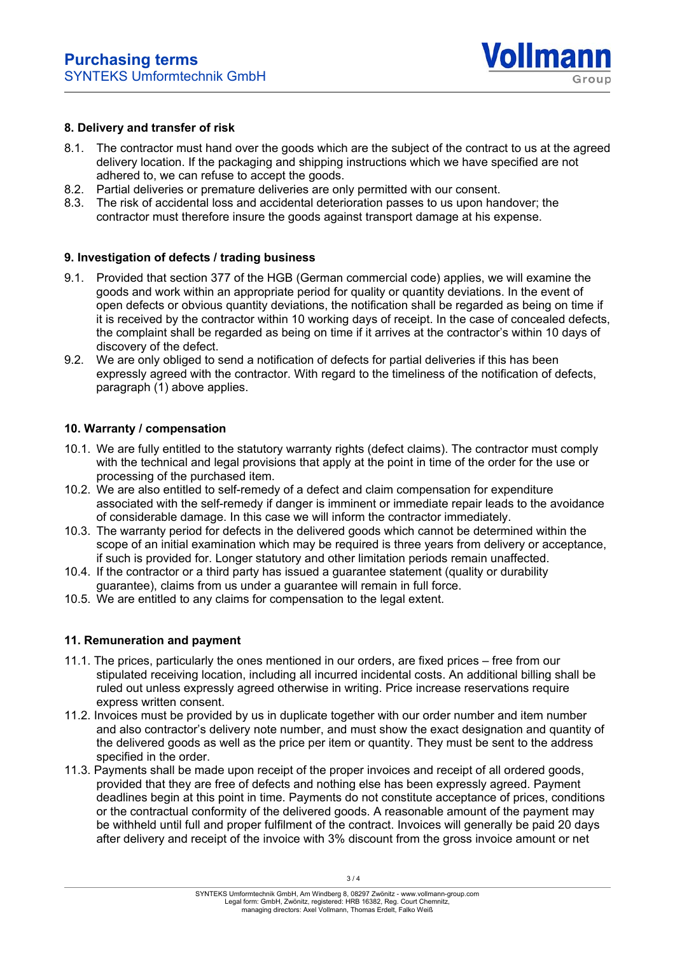

### **8. Delivery and transfer of risk**

- 8.1. The contractor must hand over the goods which are the subject of the contract to us at the agreed delivery location. If the packaging and shipping instructions which we have specified are not adhered to, we can refuse to accept the goods.
- 8.2. Partial deliveries or premature deliveries are only permitted with our consent.
- 8.3. The risk of accidental loss and accidental deterioration passes to us upon handover; the contractor must therefore insure the goods against transport damage at his expense.

### **9. Investigation of defects / trading business**

- 9.1. Provided that section 377 of the HGB (German commercial code) applies, we will examine the goods and work within an appropriate period for quality or quantity deviations. In the event of open defects or obvious quantity deviations, the notification shall be regarded as being on time if it is received by the contractor within 10 working days of receipt. In the case of concealed defects, the complaint shall be regarded as being on time if it arrives at the contractor's within 10 days of discovery of the defect.
- 9.2. We are only obliged to send a notification of defects for partial deliveries if this has been expressly agreed with the contractor. With regard to the timeliness of the notification of defects, paragraph (1) above applies.

### **10. Warranty / compensation**

- 10.1. We are fully entitled to the statutory warranty rights (defect claims). The contractor must comply with the technical and legal provisions that apply at the point in time of the order for the use or processing of the purchased item.
- 10.2. We are also entitled to self-remedy of a defect and claim compensation for expenditure associated with the self-remedy if danger is imminent or immediate repair leads to the avoidance of considerable damage. In this case we will inform the contractor immediately.
- 10.3. The warranty period for defects in the delivered goods which cannot be determined within the scope of an initial examination which may be required is three years from delivery or acceptance, if such is provided for. Longer statutory and other limitation periods remain unaffected.
- 10.4. If the contractor or a third party has issued a guarantee statement (quality or durability guarantee), claims from us under a guarantee will remain in full force.
- 10.5. We are entitled to any claims for compensation to the legal extent.

#### **11. Remuneration and payment**

- 11.1. The prices, particularly the ones mentioned in our orders, are fixed prices free from our stipulated receiving location, including all incurred incidental costs. An additional billing shall be ruled out unless expressly agreed otherwise in writing. Price increase reservations require express written consent.
- 11.2. Invoices must be provided by us in duplicate together with our order number and item number and also contractor's delivery note number, and must show the exact designation and quantity of the delivered goods as well as the price per item or quantity. They must be sent to the address specified in the order.
- 11.3. Payments shall be made upon receipt of the proper invoices and receipt of all ordered goods, provided that they are free of defects and nothing else has been expressly agreed. Payment deadlines begin at this point in time. Payments do not constitute acceptance of prices, conditions or the contractual conformity of the delivered goods. A reasonable amount of the payment may be withheld until full and proper fulfilment of the contract. Invoices will generally be paid 20 days after delivery and receipt of the invoice with 3% discount from the gross invoice amount or net